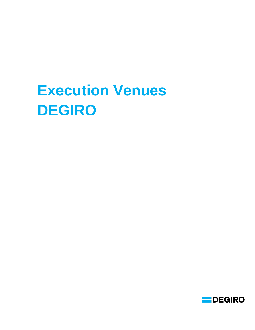## **Execution Venues DEGIRO**

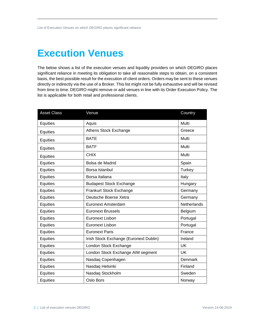## **Execution Venues**

The below shows a list of the execution venues and liquidity providers on which DEGIRO places significant reliance in meeting its obligation to take all reasonable steps to obtain, on a consistent basis, the best possible result for the execution of client orders. Orders may be sent to these venues directly or indirectly via the use of a Broker. This list might not be fully exhaustive and will be revised from time to time. DEGIRO might remove or add venues in line with its Order Execution Policy. The list is applicable for both retail and professional clients.

| <b>Asset Class</b> | Venue                                  | Country            |
|--------------------|----------------------------------------|--------------------|
| Equities           | Aquis                                  | Multi              |
| Equities           | Athens Stock Exchange                  | Greece             |
| Equities           | <b>BATE</b>                            | Multi              |
| Equities           | <b>BATF</b>                            | Multi              |
| Equities           | <b>CHIX</b>                            | Multi              |
| Equities           | Bolsa de Madrid                        | Spain              |
| Equities           | Borsa Istanbul                         | Turkey             |
| Equities           | Borsa Italiana                         | Italy              |
| Equities           | <b>Budapest Stock Exchange</b>         | Hungary            |
| Equities           | Frankurt Stock Exchange                | Germany            |
| Equities           | Deutsche Boerse Xetra                  | Germany            |
| Equities           | <b>Euronext Amsterdam</b>              | <b>Netherlands</b> |
| Equities           | <b>Euronext Brussels</b>               | Belgium            |
| Equities           | <b>Euronext Lisbon</b>                 | Portugal           |
| Equities           | <b>Euronext Lisbon</b>                 | Portugal           |
| Equities           | <b>Euronext Paris</b>                  | France             |
| Equities           | Irish Stock Exchange (Euronext Dublin) | Ireland            |
| Equities           | London Stock Exchange                  | <b>UK</b>          |
| Equities           | London Stock Exchange AIM segment      | <b>UK</b>          |
| Equities           | Nasdaq Copenhagen                      | Denmark            |
| Equities           | Nasdaq Helsinki                        | Finland            |
| Equities           | Nasdaq Stockholm                       | Sweden             |
| Equities           | Oslo Bors                              | Norway             |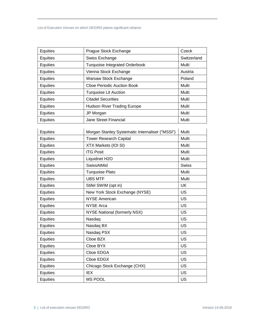List of Execution Venues on which DEGIRO places significant reliance

| Equities | Prague Stock Exchange                 | Czeck       |
|----------|---------------------------------------|-------------|
| Equities | Swiss Exchange                        | Switzerland |
| Equities | <b>Turquoise Integrated Orderbook</b> | Multi       |
| Equities | Vienna Stock Exchange                 | Austria     |
| Equities | Warsaw Stock Exchange                 | Poland      |
| Equities | Choe Periodic Auction Book            | Multi       |
| Equities | <b>Turquoise Lit Auction</b>          | Multi       |
| Equities | <b>Citadel Securities</b>             | Multi       |
| Equities | <b>Hudson River Trading Europe</b>    | Multi       |
| Equities | JP Morgan                             | Multi       |
| Equities | <b>Jane Street Financial</b>          | Multi       |

| Equities | Morgan Stanley Systematic Internaliser ("MSSI") | Multi        |
|----------|-------------------------------------------------|--------------|
| Equities | <b>Tower Research Capital</b>                   | Multi        |
| Equities | XTX Markets (IOI SI)                            | Multi        |
| Equities | <b>ITG Posit</b>                                | Multi        |
| Equities | Liquidnet H2O                                   | Multi        |
| Equities | SwissAtMid                                      | <b>Swiss</b> |
| Equities | <b>Turquoise Plato</b>                          | Multi        |
| Equities | <b>UBS MTF</b>                                  | Multi        |
| Equities | Stifel SWIM (opt in)                            | <b>UK</b>    |
| Equities | New York Stock Exchange (NYSE)                  | <b>US</b>    |
| Equities | <b>NYSE American</b>                            | <b>US</b>    |
| Equities | <b>NYSE Arca</b>                                | <b>US</b>    |
| Equities | <b>NYSE National (formerly NSX)</b>             | US           |
| Equities | Nasdaq                                          | <b>US</b>    |
| Equities | Nasdaq BX                                       | <b>US</b>    |
| Equities | Nasdaq PSX                                      | <b>US</b>    |
| Equities | Cboe BZX                                        | <b>US</b>    |
| Equities | Cboe BYX                                        | US           |
| Equities | Cboe EDGA                                       | <b>US</b>    |
| Equities | Cboe EDGX                                       | <b>US</b>    |
| Equities | Chicago Stock Exchange (CHX)                    | US           |
| Equities | <b>IEX</b>                                      | <b>US</b>    |
| Equities | <b>MS POOL</b>                                  | US           |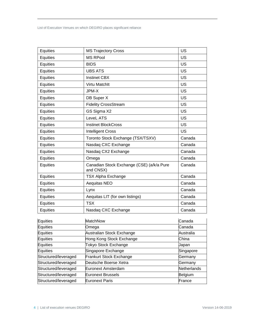List of Execution Venues on which DEGIRO places significant reliance

| <b>MS RPool</b><br>Equities<br>US<br>Equities<br>US<br><b>BIDS</b><br>Equities<br><b>UBS ATS</b><br>US<br><b>Instinet CBX</b><br><b>US</b><br>Equities<br>Equities<br>Virtu Matchlt<br>US<br><b>US</b><br>Equities<br>JPM-X<br>DB Super X<br><b>US</b><br>Equities<br><b>US</b><br><b>Fidelity CrossStream</b><br>Equities<br>GS Sigma X2<br>US<br>Equities<br>LeveL ATS<br><b>US</b><br>Equities<br><b>US</b><br>Equities<br><b>Instinet BlockCross</b><br><b>US</b><br>Equities<br><b>Intelligent Cross</b><br>Toronto Stock Exchange (TSX/TSXV)<br>Canada<br>Equities<br>Equities<br>Nasdaq CXC Exchange<br>Canada<br>Equities<br>Nasdaq CX2 Exchange<br>Canada<br>Equities<br>Canada<br>Omega<br>Equities<br>Canadian Stock Exchange (CSE) (a/k/a Pure<br>Canada<br>and CNSX)<br>Equities<br>Canada<br><b>TSX Alpha Exchange</b><br>Equities<br>Aequitas NEO<br>Canada<br>Canada<br>Equities<br>Lynx<br>Equities<br>Aequitas LIT (for own listings)<br>Canada<br><b>TSX</b><br>Equities<br>Canada<br>Equities<br>Canada<br>Nasdaq CXC Exchange | Equities | <b>MS Trajectory Cross</b> | <b>US</b> |
|----------------------------------------------------------------------------------------------------------------------------------------------------------------------------------------------------------------------------------------------------------------------------------------------------------------------------------------------------------------------------------------------------------------------------------------------------------------------------------------------------------------------------------------------------------------------------------------------------------------------------------------------------------------------------------------------------------------------------------------------------------------------------------------------------------------------------------------------------------------------------------------------------------------------------------------------------------------------------------------------------------------------------------------------------|----------|----------------------------|-----------|
|                                                                                                                                                                                                                                                                                                                                                                                                                                                                                                                                                                                                                                                                                                                                                                                                                                                                                                                                                                                                                                                    |          |                            |           |
|                                                                                                                                                                                                                                                                                                                                                                                                                                                                                                                                                                                                                                                                                                                                                                                                                                                                                                                                                                                                                                                    |          |                            |           |
|                                                                                                                                                                                                                                                                                                                                                                                                                                                                                                                                                                                                                                                                                                                                                                                                                                                                                                                                                                                                                                                    |          |                            |           |
|                                                                                                                                                                                                                                                                                                                                                                                                                                                                                                                                                                                                                                                                                                                                                                                                                                                                                                                                                                                                                                                    |          |                            |           |
|                                                                                                                                                                                                                                                                                                                                                                                                                                                                                                                                                                                                                                                                                                                                                                                                                                                                                                                                                                                                                                                    |          |                            |           |
|                                                                                                                                                                                                                                                                                                                                                                                                                                                                                                                                                                                                                                                                                                                                                                                                                                                                                                                                                                                                                                                    |          |                            |           |
|                                                                                                                                                                                                                                                                                                                                                                                                                                                                                                                                                                                                                                                                                                                                                                                                                                                                                                                                                                                                                                                    |          |                            |           |
|                                                                                                                                                                                                                                                                                                                                                                                                                                                                                                                                                                                                                                                                                                                                                                                                                                                                                                                                                                                                                                                    |          |                            |           |
|                                                                                                                                                                                                                                                                                                                                                                                                                                                                                                                                                                                                                                                                                                                                                                                                                                                                                                                                                                                                                                                    |          |                            |           |
|                                                                                                                                                                                                                                                                                                                                                                                                                                                                                                                                                                                                                                                                                                                                                                                                                                                                                                                                                                                                                                                    |          |                            |           |
|                                                                                                                                                                                                                                                                                                                                                                                                                                                                                                                                                                                                                                                                                                                                                                                                                                                                                                                                                                                                                                                    |          |                            |           |
|                                                                                                                                                                                                                                                                                                                                                                                                                                                                                                                                                                                                                                                                                                                                                                                                                                                                                                                                                                                                                                                    |          |                            |           |
|                                                                                                                                                                                                                                                                                                                                                                                                                                                                                                                                                                                                                                                                                                                                                                                                                                                                                                                                                                                                                                                    |          |                            |           |
|                                                                                                                                                                                                                                                                                                                                                                                                                                                                                                                                                                                                                                                                                                                                                                                                                                                                                                                                                                                                                                                    |          |                            |           |
|                                                                                                                                                                                                                                                                                                                                                                                                                                                                                                                                                                                                                                                                                                                                                                                                                                                                                                                                                                                                                                                    |          |                            |           |
|                                                                                                                                                                                                                                                                                                                                                                                                                                                                                                                                                                                                                                                                                                                                                                                                                                                                                                                                                                                                                                                    |          |                            |           |
|                                                                                                                                                                                                                                                                                                                                                                                                                                                                                                                                                                                                                                                                                                                                                                                                                                                                                                                                                                                                                                                    |          |                            |           |
|                                                                                                                                                                                                                                                                                                                                                                                                                                                                                                                                                                                                                                                                                                                                                                                                                                                                                                                                                                                                                                                    |          |                            |           |
|                                                                                                                                                                                                                                                                                                                                                                                                                                                                                                                                                                                                                                                                                                                                                                                                                                                                                                                                                                                                                                                    |          |                            |           |
|                                                                                                                                                                                                                                                                                                                                                                                                                                                                                                                                                                                                                                                                                                                                                                                                                                                                                                                                                                                                                                                    |          |                            |           |
|                                                                                                                                                                                                                                                                                                                                                                                                                                                                                                                                                                                                                                                                                                                                                                                                                                                                                                                                                                                                                                                    |          |                            |           |
|                                                                                                                                                                                                                                                                                                                                                                                                                                                                                                                                                                                                                                                                                                                                                                                                                                                                                                                                                                                                                                                    |          |                            |           |
|                                                                                                                                                                                                                                                                                                                                                                                                                                                                                                                                                                                                                                                                                                                                                                                                                                                                                                                                                                                                                                                    |          |                            |           |

| Equities             | <b>MatchNow</b>           | Canada      |
|----------------------|---------------------------|-------------|
| Equities             | Omega                     | Canada      |
| Equities             | Australian Stock Exchange | Australia   |
| Equities             | Hong Kong Stock Exchange  | China       |
| Equities             | Tokyo Stock Exchange      | Japan       |
| Equities             | Singapore Exchange        | Singapore   |
| Structured/leveraged | Frankurt Stock Exchange   | Germany     |
| Structured/leveraged | Deutsche Boerse Xetra     | Germany     |
| Structured/leveraged | Euronext Amsterdam        | Netherlands |
| Structured/leveraged | <b>Euronext Brussels</b>  | Belgium     |
| Structured/leveraged | <b>Euronext Paris</b>     | France      |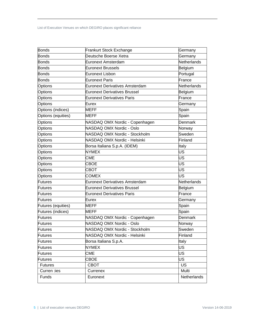| <b>Bonds</b>       | <b>Frankurt Stock Exchange</b>        | Germany        |
|--------------------|---------------------------------------|----------------|
| <b>Bonds</b>       | Deutsche Boerse Xetra                 | Germany        |
| Bonds              | Euronext Amsterdam                    | Netherlands    |
| <b>Bonds</b>       | <b>Euronext Brussels</b>              | Belgium        |
| <b>Bonds</b>       | Euronext Lisbon                       | Portugal       |
| Bonds              | <b>Euronext Paris</b>                 | France         |
| Options            | <b>Euronext Derivatives Amsterdam</b> | Netherlands    |
| <b>Options</b>     | Euronext Derivatives Brussel          | Belgium        |
| Options            | <b>Euronext Derivatives Paris</b>     | France         |
| <b>Options</b>     | Eurex                                 | Germany        |
| Options (indices)  | MEFF                                  | Spain          |
| Options (equities) | MEFF                                  | Spain          |
| Options            | NASDAQ OMX Nordic - Copenhagen        | Denmark        |
| <b>Options</b>     | NASDAQ OMX Nordic - Oslo              | Norway         |
| Options            | NASDAQ OMX Nordic - Stockholm         | Sweden         |
| Options            | NASDAQ OMX Nordic - Helsinki          | Finland        |
| Options            | Borsa Italiana S.p.A. (IDEM)          | Italy          |
| Options            | <b>NYMEX</b>                          | US             |
| <b>Options</b>     | <b>CME</b>                            | US             |
| Options            | <b>CBOE</b>                           | US             |
| Options            | <b>CBOT</b>                           | US             |
| <b>Options</b>     | <b>COMEX</b>                          | US             |
| Futures            | <b>Euronext Derivatives Amsterdam</b> | Netherlands    |
| <b>Futures</b>     | <b>Euronext Derivatives Brussel</b>   | Belgium        |
| Futures            | <b>Euronext Derivatives Paris</b>     | France         |
| Futures            | Eurex                                 | Germany        |
| Futures (equities) | <b>MEFF</b>                           | Spain          |
| Futures (indices)  | MEFF                                  | Spain          |
| <b>Futures</b>     | NASDAQ OMX Nordic - Copenhagen        | <b>Denmark</b> |
| Futures            | NASDAQ OMX Nordic - Oslo              | Norway         |
| Futures            | NASDAQ OMX Nordic - Stockholm         | Sweden         |
| <b>Futures</b>     | NASDAQ OMX Nordic - Helsinki          | Finland        |
| Futures            | Borsa Italiana S.p.A.                 | Italy          |
| <b>Futures</b>     | <b>NYMEX</b>                          | US             |
| Futures            | <b>CME</b>                            | US             |
| Futures            | CBOE                                  | US             |
| <b>Futures</b>     | <b>CBOT</b>                           | <b>US</b>      |
| Curren :ies        | Currenex                              | Multi          |
| Funds              | Euronext                              | Netherlands    |